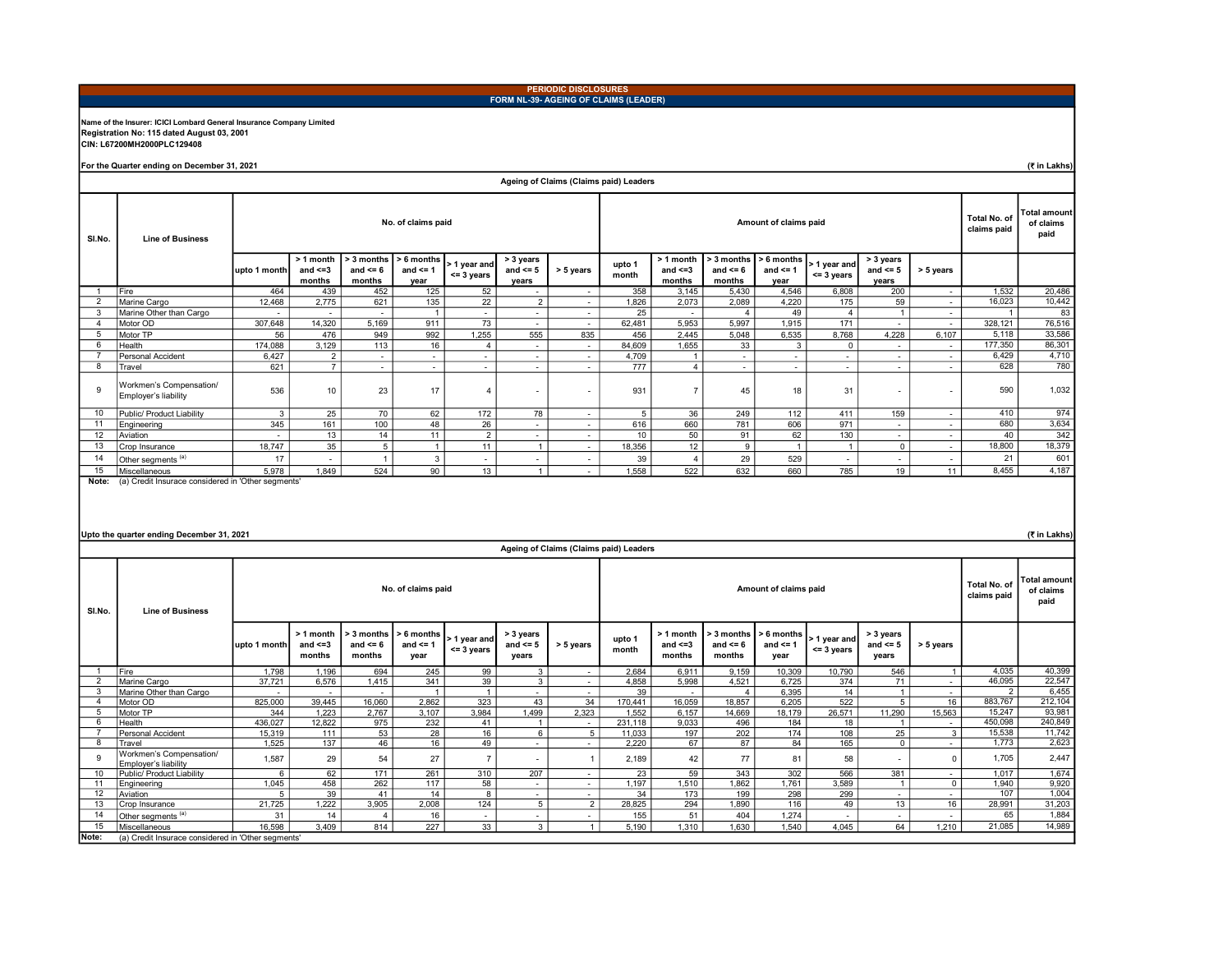### PERIODIC DISCLOSURES FORM NL-39- AGEING OF CLAIMS (LEADER)

## Name of the Insurer: ICICI Lombard General Insurance Company Limited Registration No: 115 dated August 03, 2001 CIN: L67200MH2000PLC129408

For the Quarter ending on December 31, 2021

(₹ in Lakhs)

|                       |                                                    |                          |                                      |                                      |                                      |                               |                                    | Ageing of Claims (Claims paid) Leaders |                 |                                      |                                          |                                    |                                  |                                    |                          |         |        |
|-----------------------|----------------------------------------------------|--------------------------|--------------------------------------|--------------------------------------|--------------------------------------|-------------------------------|------------------------------------|----------------------------------------|-----------------|--------------------------------------|------------------------------------------|------------------------------------|----------------------------------|------------------------------------|--------------------------|---------|--------|
| SI.No.                | <b>Line of Business</b>                            |                          |                                      |                                      | No. of claims paid                   |                               |                                    |                                        |                 | Total No. of<br>claims paid          | <b>Total amount</b><br>of claims<br>paid |                                    |                                  |                                    |                          |         |        |
|                       |                                                    | upto 1 month             | > 1 month<br>and $\leq$ =3<br>months | > 3 months<br>and $\leq 6$<br>months | $> 6$ months<br>and $\leq$ 1<br>vear | > 1 year and<br>$<$ = 3 years | > 3 years<br>and $\leq 5$<br>years | > 5 years                              | upto 1<br>month | > 1 month<br>and $\leq$ =3<br>months | > 3 months<br>and $\leq 6$<br>months     | > 6 months<br>and $\leq$ 1<br>vear | l> 1 vear and l<br>$<$ = 3 years | > 3 years<br>and $\leq 5$<br>vears | > 5 years                |         |        |
|                       | <b>Fire</b>                                        | 464                      | 439                                  | 452                                  | 125                                  | 52                            | $\overline{\phantom{a}}$           | $\sim$                                 | 358             | 3.145                                | 5,430                                    | 4.546                              | 6.808                            | 200                                | $\overline{\phantom{a}}$ | 1,532   | 20,486 |
| $\overline{2}$        | Marine Cargo                                       | 12.468                   | 2,775                                | 621                                  | 135                                  | 22                            | $\overline{2}$                     | $\sim$                                 | 1.826           | 2,073                                | 2,089                                    | 4,220                              | 175                              | 59                                 | $\overline{\phantom{a}}$ | 16,023  | 10,442 |
| 3                     | Marine Other than Cargo                            |                          |                                      |                                      |                                      | $\overline{\phantom{a}}$      | $\sim$                             | $\sim$                                 | 25              | $\overline{\phantom{a}}$             | $\boldsymbol{\Delta}$                    | 49                                 |                                  |                                    | $\overline{\phantom{a}}$ |         | 83     |
| $\boldsymbol{\Delta}$ | Motor OD                                           | 307,648                  | 14,320                               | 5,169                                | 911                                  | 73                            | $\sim$                             | $\sim$                                 | 62,481          | 5,953                                | 5,997                                    | 1,915                              | 171                              | $\overline{\phantom{a}}$           | $\overline{\phantom{a}}$ | 328.121 | 76,516 |
| 5                     | Motor TP                                           | 56                       | 476                                  | 949                                  | 992                                  | 1.255                         | 555                                | 835                                    | 456             | 2,445                                | 5.048                                    | 6,535                              | 8,768                            | 4,228                              | 6.107                    | 5,118   | 33,586 |
| 6                     | Health                                             | 174,088                  | 3,129                                | 113                                  | 16                                   |                               | $\sim$                             | $\sim$                                 | 84,609          | 1,655                                | 33                                       | 3                                  | $\mathbf 0$                      | $\overline{\phantom{a}}$           | $\overline{\phantom{a}}$ | 177,350 | 86,301 |
|                       | Personal Accident                                  | 6,427                    | $\overline{2}$                       | ٠                                    | $\sim$                               | $\overline{\phantom{a}}$      | $\overline{\phantom{a}}$           | $\sim$                                 | 4,709           | $\overline{1}$                       | $\overline{\phantom{a}}$                 |                                    | ٠                                | $\overline{\phantom{a}}$           | $\overline{\phantom{a}}$ | 6,429   | 4,710  |
| 8                     | Travel                                             | 621                      | $\overline{7}$                       | $\overline{\phantom{a}}$             | $\sim$                               | $\overline{\phantom{a}}$      | $\overline{\phantom{a}}$           | $\sim$                                 | 777             | $\overline{4}$                       | $\overline{\phantom{a}}$                 | $\overline{\phantom{a}}$           | $\sim$                           | $\overline{\phantom{a}}$           | $\overline{\phantom{a}}$ | 628     | 780    |
| 9                     | Workmen's Compensation/<br>Employer's liability    | 536                      | 10                                   | 23                                   | 17                                   | $\overline{a}$                | $\overline{\phantom{a}}$           | $\sim$                                 | 931             | $\overline{7}$                       | 45                                       | 18                                 | 31                               | $\sim$                             | $\tilde{\phantom{a}}$    | 590     | 1,032  |
| 10                    | Public/ Product Liability                          | 3                        | 25                                   | 70                                   | 62                                   | 172                           | 78                                 | $\sim$                                 | $\overline{5}$  | 36                                   | 249                                      | 112                                | 411                              | 159                                | $\overline{\phantom{a}}$ | 410     | 974    |
| 11                    | Engineering                                        | 345                      | 161                                  | 100                                  | 48                                   | 26                            | $\sim$                             | $\sim$                                 | 616             | 660                                  | 781                                      | 606                                | 971                              | $\overline{\phantom{a}}$           | $\overline{\phantom{a}}$ | 680     | 3,634  |
| 12                    | Aviation                                           | $\overline{\phantom{a}}$ | 13                                   | 14                                   | 11                                   | $\overline{2}$                | $\overline{\phantom{0}}$           | $\sim$                                 | 10              | 50                                   | 91                                       | 62                                 | 130                              | $\overline{\phantom{a}}$           | $\overline{\phantom{a}}$ | 40      | 342    |
| 13                    | Crop Insurance                                     | 18,747                   | 35                                   | 5                                    |                                      | 11                            |                                    | $\sim$                                 | 18,356          | 12                                   | 9                                        | $\overline{A}$                     |                                  | $\Omega$                           | $\overline{\phantom{a}}$ | 18,800  | 18,379 |
| 14                    | Other segments <sup>(a)</sup>                      | 17                       |                                      |                                      | 3                                    | $\overline{\phantom{a}}$      | $\overline{\phantom{a}}$           | $\sim$                                 | 39              | 4                                    | 29                                       | 529                                | ٠                                | $\overline{\phantom{a}}$           | $\sim$                   | 21      | 601    |
| 15                    | Miscellaneous                                      | 5.978                    | 1.849                                | 524                                  | 90                                   | 13                            |                                    | $\sim$                                 | 1.558           | 522                                  | 632                                      | 660                                | 785                              | 19                                 | 11                       | 8,455   | 4,187  |
| Note:                 | (a) Credit Insurace considered in 'Other segments' |                          |                                      |                                      |                                      |                               |                                    |                                        |                 |                                      |                                          |                                    |                                  |                                    |                          |         |        |

#### Upto the quarter ending December 31, 2021

(₹ in Lakhs)

|        | Ageing of Claims (Claims paid) Leaders             |              |                                      |                                      |                                      |                               |                                    |           |                 |                                      |                                      |                                         |                                          |                                    |                          |         |         |
|--------|----------------------------------------------------|--------------|--------------------------------------|--------------------------------------|--------------------------------------|-------------------------------|------------------------------------|-----------|-----------------|--------------------------------------|--------------------------------------|-----------------------------------------|------------------------------------------|------------------------------------|--------------------------|---------|---------|
| SI.No. | <b>Line of Business</b>                            |              |                                      |                                      | No. of claims paid                   |                               |                                    |           |                 |                                      |                                      | Total No. of<br>claims paid             | <b>Total amount</b><br>of claims<br>paid |                                    |                          |         |         |
|        |                                                    | upto 1 month | > 1 month<br>and $\leq$ =3<br>months | > 3 months<br>and $\leq 6$<br>months | $> 6$ months<br>and $\leq 1$<br>year | > 1 year and<br>$<$ = 3 years | > 3 years<br>and $\leq 5$<br>years | > 5 years | upto 1<br>month | > 1 month<br>and $\leq$ =3<br>months | > 3 months<br>and $\leq 6$<br>months | $\geq 6$ months<br>and $\leq$ 1<br>year | > 1 year and<br>$<$ = 3 years            | > 3 years<br>and $\leq 5$<br>years | > 5 years                |         |         |
|        | <b>Fire</b>                                        | 1,798        | 1,196                                | 694                                  | 245                                  | 99                            | 3                                  | $\sim$    | 2,684           | 6,911                                | 9,159                                | 10,309                                  | 10,790                                   | 546                                |                          | 4,035   | 40,399  |
|        | Marine Cargo                                       | 37.721       | 6,576                                | 1.415                                | 341                                  | 39                            | $\mathbf{3}$                       | $\sim$    | 4,858           | 5.998                                | 4,521                                | 6.725                                   | 374                                      | 71                                 | $\overline{\phantom{a}}$ | 46,095  | 22,547  |
|        | Marine Other than Cargo                            |              |                                      | $\overline{\phantom{a}}$             |                                      | $\overline{1}$                | $\sim$                             | $\sim$    | 39              | $\sim$                               | 4                                    | 6,395                                   | 14                                       |                                    | $\overline{\phantom{a}}$ |         | 6,455   |
|        | Motor OD                                           | 825,000      | 39,445                               | 16,060                               | 2,862                                | 323                           | 43                                 | 34        | 170,441         | 16,059                               | 18,857                               | 6,205                                   | 522                                      | 5                                  | 16                       | 883,767 | 212,104 |
| 5      | Motor TP                                           | 344          | 1.223                                | 2,767                                | 3.107                                | 3,984                         | 1,499                              | 2,323     | 1,552           | 6.157                                | 14,669                               | 18,179                                  | 26,571                                   | 11,290                             | 15,563                   | 15.247  | 93,981  |
| 6      | Health                                             | 436,027      | 12,822                               | 975                                  | 232                                  | 41                            |                                    | $\sim$    | 231,118         | 9,033                                | 496                                  | 184                                     | 18                                       |                                    | $\overline{\phantom{a}}$ | 450,098 | 240,849 |
|        | Personal Accident                                  | 15,319       | 111                                  | 53                                   | 28                                   | 16                            | 6                                  | 5         | 11,033          | 197                                  | 202                                  | 174                                     | 108                                      | 25                                 | 3                        | 15,538  | 11,742  |
| 8      | Travel                                             | 1,525        | 137                                  | 46                                   | 16                                   | 49                            | $\overline{\phantom{a}}$           | $\sim$    | 2.220           | 67                                   | 87                                   | 84                                      | 165                                      | $\Omega$                           |                          | 1.773   | 2,623   |
| 9      | Workmen's Compensation/<br>Emplover's liability    | 1,587        | 29                                   | 54                                   | 27                                   | $\overline{7}$                |                                    |           | 2.189           | 42                                   | 77                                   | 81                                      | 58                                       |                                    |                          | 1,705   | 2,447   |
| 10     | Public/ Product Liability                          | 6            | 62                                   | 171                                  | 261                                  | 310                           | 207                                | $\sim$    | 23              | 59                                   | 343                                  | 302                                     | 566                                      | 381                                | $\overline{\phantom{a}}$ | 1.017   | 1,674   |
| 11     | Enaineerina                                        | 1,045        | 458                                  | 262                                  | 117                                  | 58                            | $\sim$                             | $\sim$    | 1,197           | 1.510                                | 1,862                                | 1.761                                   | 3,589                                    |                                    | $\Omega$                 | 1.940   | 9,920   |
| 12     | Aviation                                           | 5            | 39                                   | 41                                   | 14                                   | 8                             | $\sim$                             | $\sim$    | 34              | 173                                  | 199                                  | 298                                     | 299                                      | $\sim$                             | $\overline{\phantom{a}}$ | 107     | 1,004   |
| 13     | Crop Insurance                                     | 21,725       | 1,222                                | 3,905                                | 2,008                                | 124                           | 5                                  | 2         | 28,825          | 294                                  | 1,890                                | 116                                     | 49                                       | 13                                 | 16                       | 28.991  | 31,203  |
| 14     | Other segments <sup>(a)</sup>                      | 31           | 14                                   |                                      | 16                                   | $\sim$                        | $\overline{\phantom{a}}$           | $\sim$    | 155             | 51                                   | 404                                  | 1,274                                   |                                          | $\overline{\phantom{a}}$           |                          | 65      | 1,884   |
| 15     | Miscellaneous                                      | 16.598       | 3,409                                | 814                                  | 227                                  | 33                            | 3                                  |           | 5,190           | 1.310                                | 1.630                                | 1.540                                   | 4.045                                    | 64                                 | 1.210                    | 21,085  | 14,989  |
| Note:  | (a) Credit Insurace considered in 'Other segments' |              |                                      |                                      |                                      |                               |                                    |           |                 |                                      |                                      |                                         |                                          |                                    |                          |         |         |